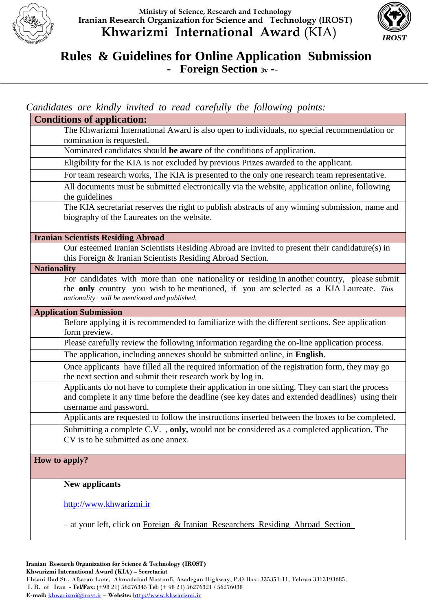



## **Rules & Guidelines for Online Application Submission - Foreign Section 3v -**-  $\overline{a}$

*Candidates are kindly invited to read carefully the following points:*

| <b>Conditions of application:</b>                                                                                                                                                                                                     |  |  |  |
|---------------------------------------------------------------------------------------------------------------------------------------------------------------------------------------------------------------------------------------|--|--|--|
| The Khwarizmi International Award is also open to individuals, no special recommendation or                                                                                                                                           |  |  |  |
| nomination is requested.                                                                                                                                                                                                              |  |  |  |
| Nominated candidates should be aware of the conditions of application.                                                                                                                                                                |  |  |  |
| Eligibility for the KIA is not excluded by previous Prizes awarded to the applicant.                                                                                                                                                  |  |  |  |
| For team research works, The KIA is presented to the only one research team representative.                                                                                                                                           |  |  |  |
| All documents must be submitted electronically via the website, application online, following<br>the guidelines                                                                                                                       |  |  |  |
| The KIA secretariat reserves the right to publish abstracts of any winning submission, name and<br>biography of the Laureates on the website.                                                                                         |  |  |  |
| <b>Iranian Scientists Residing Abroad</b>                                                                                                                                                                                             |  |  |  |
| Our esteemed Iranian Scientists Residing Abroad are invited to present their candidature(s) in<br>this Foreign & Iranian Scientists Residing Abroad Section.                                                                          |  |  |  |
| <b>Nationality</b>                                                                                                                                                                                                                    |  |  |  |
| For candidates with more than one nationality or residing in another country, please submit<br>the only country you wish to be mentioned, if you are selected as a KIA Laureate. This<br>nationality will be mentioned and published. |  |  |  |
| <b>Application Submission</b>                                                                                                                                                                                                         |  |  |  |
| Before applying it is recommended to familiarize with the different sections. See application<br>form preview.                                                                                                                        |  |  |  |
| Please carefully review the following information regarding the on-line application process.                                                                                                                                          |  |  |  |
| The application, including annexes should be submitted online, in English.                                                                                                                                                            |  |  |  |
| Once applicants have filled all the required information of the registration form, they may go<br>the next section and submit their research work by log in.                                                                          |  |  |  |
| Applicants do not have to complete their application in one sitting. They can start the process<br>and complete it any time before the deadline (see key dates and extended deadlines) using their<br>username and password.          |  |  |  |
| Applicants are requested to follow the instructions inserted between the boxes to be completed.                                                                                                                                       |  |  |  |
| Submitting a complete C.V., only, would not be considered as a completed application. The<br>CV is to be submitted as one annex.                                                                                                      |  |  |  |
| How to apply?                                                                                                                                                                                                                         |  |  |  |
| <b>New applicants</b>                                                                                                                                                                                                                 |  |  |  |
| http://www.khwarizmi.ir                                                                                                                                                                                                               |  |  |  |
| - at your left, click on Foreign & Iranian Researchers Residing Abroad Section                                                                                                                                                        |  |  |  |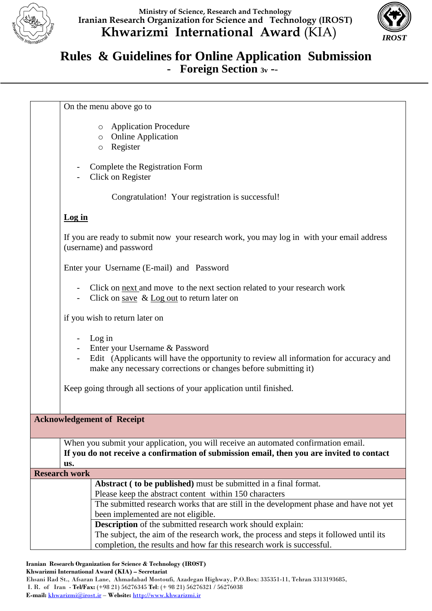



## **Rules & Guidelines for Online Application Submission - Foreign Section 3v -**-  $\overline{a}$

On the menu above go to o Application Procedure o Online Application o Register Complete the Registration Form Click on Register Congratulation! Your registration is successful! **Log in** If you are ready to submit now your research work, you may log in with your email address (username) and password Enter your Username (E-mail) and Password Click on next and move to the next section related to your research work - Click on save & Log out to return later on if you wish to return later on - Log in Enter your Username & Password Edit (Applicants will have the opportunity to review all information for accuracy and make any necessary corrections or changes before submitting it) Keep going through all sections of your application until finished. **Acknowledgement of Receipt** When you submit your application, you will receive an automated confirmation email. **If you do not receive a confirmation of submission email, then you are invited to contact us. Research work Abstract ( to be published)** must be submitted in a final format. Please keep the abstract content within 150 characters The submitted research works that are still in the development phase and have not yet been implemented are not eligible. **Description** of the submitted research work should explain: The subject, the aim of the research work, the process and steps it followed until its completion, the results and how far this research work is successful.

**Iranian Research Organization for Science & Technology (IROST)**

**Khwarizmi International Award (KIA) – Secretariat**

Ehsani Rad St., Afsaran Lane, Ahmadabad Mostoufi, Azadegan Highway, P.O.Box: 335351-11, Tehran 3313193685, I. R. of Iran - **Tel/Fax:** (+98 21) 56276345 **Tel**: (+ 98 21) 56276321 / 56276038

**E-mail:** [khwarizmi@irost.ir](mailto:khwarizmi@irost.ir) – **Website:** [http://www.khwarizmi.ir](http://www.khwarizmi.ir/)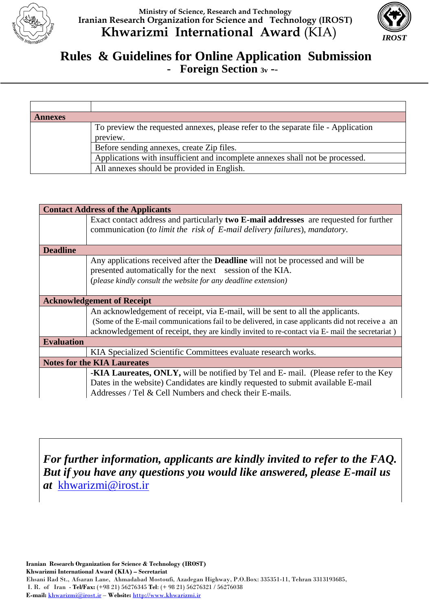

**Ministry of Science, Research and Technology Iranian Research Organization for Science and Technology (IROST) Khwarizmi International Award** (KIA)



## **Rules & Guidelines for Online Application Submission - Foreign Section 3v -**-  $\overline{a}$

| <b>Annexes</b>                                        |                                                                                   |  |
|-------------------------------------------------------|-----------------------------------------------------------------------------------|--|
|                                                       | To preview the requested annexes, please refer to the separate file - Application |  |
| preview.<br>Before sending annexes, create Zip files. |                                                                                   |  |
|                                                       |                                                                                   |  |
|                                                       | All annexes should be provided in English.                                        |  |

| <b>Contact Address of the Applicants</b> |                                                                                                                                                                                                                                    |  |  |  |
|------------------------------------------|------------------------------------------------------------------------------------------------------------------------------------------------------------------------------------------------------------------------------------|--|--|--|
|                                          | Exact contact address and particularly two E-mail addresses are requested for further                                                                                                                                              |  |  |  |
|                                          | communication (to limit the risk of E-mail delivery failures), mandatory.                                                                                                                                                          |  |  |  |
| <b>Deadline</b>                          |                                                                                                                                                                                                                                    |  |  |  |
|                                          | Any applications received after the <b>Deadline</b> will not be processed and will be<br>presented automatically for the next session of the KIA.<br>(please kindly consult the website for any deadline extension)                |  |  |  |
| <b>Acknowledgement of Receipt</b>        |                                                                                                                                                                                                                                    |  |  |  |
|                                          | An acknowledgement of receipt, via E-mail, will be sent to all the applicants.                                                                                                                                                     |  |  |  |
|                                          | (Some of the E-mail communications fail to be delivered, in case applicants did not receive a an<br>acknowledgement of receipt, they are kindly invited to re-contact via E- mail the secretariat)                                 |  |  |  |
| <b>Evaluation</b>                        |                                                                                                                                                                                                                                    |  |  |  |
|                                          | KIA Specialized Scientific Committees evaluate research works.                                                                                                                                                                     |  |  |  |
| <b>Notes for the KIA Laureates</b>       |                                                                                                                                                                                                                                    |  |  |  |
|                                          | -KIA Laureates, ONLY, will be notified by Tel and E- mail. (Please refer to the Key<br>Dates in the website) Candidates are kindly requested to submit available E-mail<br>Addresses / Tel & Cell Numbers and check their E-mails. |  |  |  |

*For further information, applicants are kindly invited to refer to the FAQ. But if you have any questions you would like answered, please E-mail us at* [khwarizmi@irost.ir](mailto:khwarizmi@irost.ir)